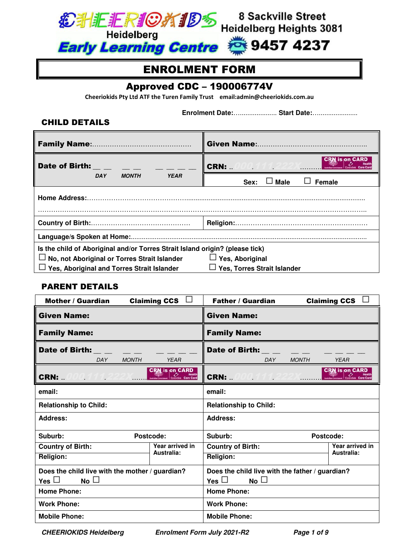

# ENROLMENT FORM

# Approved CDC – 190006774V

**Cheeriokids Pty Ltd ATF the Turen Family Trust email:admin@cheeriokids.com.au** 

 **Enrolment Date:**….................... **Start Date:**….....................

### CHILD DETAILS

| Date of Birth: Product of Birth:                                                                                                                                           | is on CARD<br><b>CRN: </b>                            |  |
|----------------------------------------------------------------------------------------------------------------------------------------------------------------------------|-------------------------------------------------------|--|
| <b>MONTH</b><br><b>YEAR</b><br><b>DAY</b>                                                                                                                                  | Male<br><b>Female</b><br>Sex:                         |  |
| <b>Home Address:</b>                                                                                                                                                       |                                                       |  |
|                                                                                                                                                                            |                                                       |  |
|                                                                                                                                                                            |                                                       |  |
| Is the child of Aboriginal and/or Torres Strait Island origin? (please tick)<br>No, not Aboriginal or Torres Strait Islander<br>Yes, Aboriginal and Torres Strait Islander | $\Box$ Yes, Aboriginal<br>Yes, Torres Strait Islander |  |

### PARENT DETAILS

| Mother / Guardian                               | <b>Claiming CCS</b>           | <b>Father / Guardian</b>                        | $\sim$<br><b>Claiming CCS</b>                                |
|-------------------------------------------------|-------------------------------|-------------------------------------------------|--------------------------------------------------------------|
| <b>Given Name:</b>                              |                               | <b>Given Name:</b>                              |                                                              |
| <b>Family Name:</b>                             |                               | <b>Family Name:</b>                             |                                                              |
| <b>Date of Birth:</b><br><b>MONTH</b><br>DAY    | <b>YEAR</b>                   | <b>Date of Birth:</b><br><b>MONTH</b><br>DAY    | <b>YEAR</b>                                                  |
| <b>CRN: </b><br>JUU 111                         | <b>CRN</b> is on CARD         | <b>CRN:</b> 000.111                             | <b>CRN</b> is on CARD<br><b>CARD</b><br>Centrelisk Care Card |
| email:                                          |                               | email:                                          |                                                              |
| <b>Relationship to Child:</b>                   |                               | <b>Relationship to Child:</b>                   |                                                              |
| <b>Address:</b>                                 |                               | Address:                                        |                                                              |
| Suburb:                                         | Postcode:                     | Suburb:<br>Postcode:                            |                                                              |
| <b>Country of Birth:</b>                        | Year arrived in<br>Australia: | <b>Country of Birth:</b>                        | Year arrived in<br>Australia:                                |
| <b>Religion:</b>                                |                               | <b>Religion:</b>                                |                                                              |
| Does the child live with the mother / guardian? |                               | Does the child live with the father / guardian? |                                                              |
| No<br>Yes $\Box$                                |                               | Yes $\Box$<br>No                                |                                                              |
| <b>Home Phone:</b>                              |                               | <b>Home Phone:</b>                              |                                                              |
| <b>Work Phone:</b>                              |                               | <b>Work Phone:</b>                              |                                                              |
| <b>Mobile Phone:</b>                            |                               | <b>Mobile Phone:</b>                            |                                                              |

*CHEERIOKIDS Heidelberg Enrolment Form July 2021-R2 Page 1 of 9*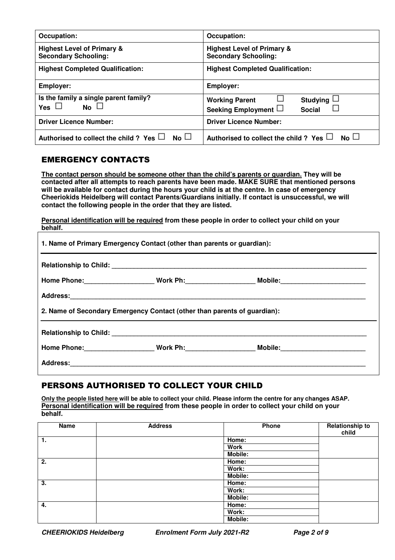| Occupation:                                                          | Occupation:                                                                     |
|----------------------------------------------------------------------|---------------------------------------------------------------------------------|
| <b>Highest Level of Primary &amp;</b><br><b>Secondary Schooling:</b> | <b>Highest Level of Primary &amp;</b><br><b>Secondary Schooling:</b>            |
| <b>Highest Completed Qualification:</b>                              | <b>Highest Completed Qualification:</b>                                         |
| <b>Employer:</b>                                                     | <b>Employer:</b>                                                                |
| Is the family a single parent family?<br>No<br>Yes $\Box$            | <b>Studying</b><br><b>Working Parent</b><br>Seeking Employment<br><b>Social</b> |
| <b>Driver Licence Number:</b>                                        | <b>Driver Licence Number:</b>                                                   |
| No $\square$<br>Authorised to collect the child ? Yes $\Box$         | Authorised to collect the child ? Yes $\Box$<br>$No \Box$                       |

### EMERGENCY CONTACTS

**The contact person should be someone other than the child's parents or guardian. They will be contacted after all attempts to reach parents have been made. MAKE SURE that mentioned persons will be available for contact during the hours your child is at the centre. In case of emergency Cheeriokids Heidelberg will contact Parents/Guardians initially. If contact is unsuccessful, we will contact the following people in the order that they are listed.** 

**Personal identification will be required from these people in order to collect your child on your behalf.** 

| 1. Name of Primary Emergency Contact (other than parents or guardian):   |  |                                                                                                      |  |
|--------------------------------------------------------------------------|--|------------------------------------------------------------------------------------------------------|--|
|                                                                          |  |                                                                                                      |  |
|                                                                          |  |                                                                                                      |  |
|                                                                          |  |                                                                                                      |  |
| 2. Name of Secondary Emergency Contact (other than parents of guardian): |  |                                                                                                      |  |
|                                                                          |  |                                                                                                      |  |
|                                                                          |  | Home Phone:______________________Work Ph:_____________________Mobile:_______________________________ |  |
|                                                                          |  |                                                                                                      |  |

# PERSONS AUTHORISED TO COLLECT YOUR CHILD

**Only the people listed here will be able to collect your child. Please inform the centre for any changes ASAP. Personal identification will be required from these people in order to collect your child on your behalf.** 

| Name | <b>Address</b> | Phone          | <b>Relationship to</b><br>child |
|------|----------------|----------------|---------------------------------|
| 1.   |                | Home:          |                                 |
|      |                | Work           |                                 |
|      |                | Mobile:        |                                 |
| 2.   |                | Home:          |                                 |
|      |                | Work:          |                                 |
|      |                | <b>Mobile:</b> |                                 |
| 3.   |                | Home:          |                                 |
|      |                | Work:          |                                 |
|      |                | Mobile:        |                                 |
| 4.   |                | Home:          |                                 |
|      |                | Work:          |                                 |
|      |                | Mobile:        |                                 |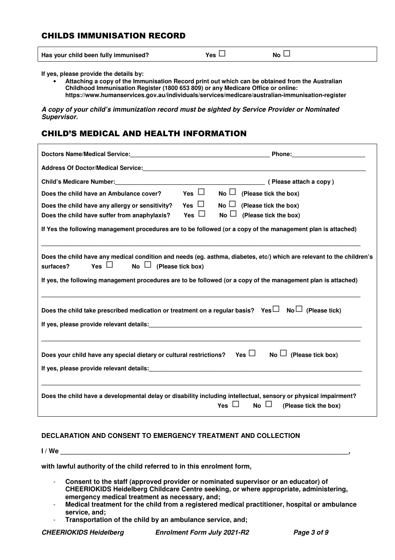# CHILDS IMMUNISATION RECORD

| Has your child been fully immunised?<br>No.<br>Yes |  |
|----------------------------------------------------|--|
|----------------------------------------------------|--|

**If yes, please provide the details by:** 

• **Attaching a copy of the Immunisation Record print out which can be obtained from the Australian Childhood Immunisation Register (1800 653 809) or any Medicare Office or online: https://www.humanservices.gov.au/individuals/services/medicare/australian-immunisation-register** 

*A copy of your child's immunization record must be sighted by Service Provider or Nominated Supervisor.* 

# CHILD'S MEDICAL AND HEALTH INFORMATION

| Address Of Doctor/Medical Service: Management Control Control Control Control Control Control Control Control C |            |                                                                                                                                                                                                                                        |
|-----------------------------------------------------------------------------------------------------------------|------------|----------------------------------------------------------------------------------------------------------------------------------------------------------------------------------------------------------------------------------------|
|                                                                                                                 |            |                                                                                                                                                                                                                                        |
| Does the child have an Ambulance cover?                                                                         | Yes $\Box$ | $No \Box$<br>(Please tick the box)                                                                                                                                                                                                     |
| Does the child have any allergy or sensitivity?                                                                 | Yes $\Box$ | $No \Box$<br>(Please tick the box)                                                                                                                                                                                                     |
| Does the child have suffer from anaphylaxis?                                                                    | Yes $\Box$ | N <sub>o</sub><br>(Please tick the box)                                                                                                                                                                                                |
|                                                                                                                 |            | If Yes the following management procedures are to be followed (or a copy of the management plan is attached)                                                                                                                           |
| No $\Box$ (Please tick box)<br>Yes $\Box$<br>surfaces?                                                          |            | Does the child have any medical condition and needs (eg. asthma, diabetes, etc/) which are relevant to the children's<br>If yes, the following management procedures are to be followed (or a copy of the management plan is attached) |
| Does the child take prescribed medication or treatment on a regular basis? Yes $\Box$ No $\Box$ (Please tick)   |            |                                                                                                                                                                                                                                        |
| Does your child have any special dietary or cultural restrictions?                                              |            | Yes $\Box$<br>$\overline{\mathsf{No}}$ (Please tick box)                                                                                                                                                                               |
|                                                                                                                 |            | Does the child have a developmental delay or disability including intellectual, sensory or physical impairment?<br>$No \Box$<br>Yes $\Box$<br>(Please tick the box)                                                                    |

#### **DECLARATION AND CONSENT TO EMERGENCY TREATMENT AND COLLECTION**

 $I / We$ 

**with lawful authority of the child referred to in this enrolment form,** 

- **Consent to the staff (approved provider or nominated supervisor or an educator) of CHEERIOKIDS Heidelberg Childcare Centre seeking, or where appropriate, administering, emergency medical treatment as necessary, and;**
- **Medical treatment for the child from a registered medical practitioner, hospital or ambulance service, and;**
- **Transportation of the child by an ambulance service, and;**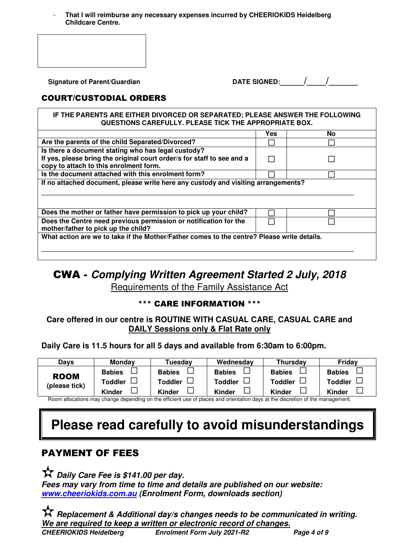- **That I will reimburse any necessary expenses incurred by CHEERIOKIDS Heidelberg Childcare Centre.** 

 $S$ ignature of Parent/Guardian

| <b>DATE SIGNED:</b> |  |  |
|---------------------|--|--|
|                     |  |  |

# COURT/CUSTODIAL ORDERS

| IF THE PARENTS ARE EITHER DIVORCED OR SEPARATED; PLEASE ANSWER THE FOLLOWING<br>QUESTIONS CAREFULLY. PLEASE TICK THE APPROPRIATE BOX.                                  |     |           |  |
|------------------------------------------------------------------------------------------------------------------------------------------------------------------------|-----|-----------|--|
|                                                                                                                                                                        | Yes | <b>No</b> |  |
| Are the parents of the child Separated/Divorced?                                                                                                                       |     |           |  |
| Is there a document stating who has legal custody?<br>If yes, please bring the original court order/s for staff to see and a<br>copy to attach to this enrolment form. |     |           |  |
| Is the document attached with this enrolment form?                                                                                                                     |     |           |  |
| If no attached document, please write here any custody and visiting arrangements?                                                                                      |     |           |  |
| Does the mother or father have permission to pick up your child?                                                                                                       |     |           |  |
| Does the Centre need previous permission or notification for the<br>mother/father to pick up the child?                                                                |     |           |  |
| What action are we to take if the Mother/Father comes to the centre? Please write details.                                                                             |     |           |  |

# CWA - *Complying Written Agreement Started 2 July, 2018*  Requirements of the Family Assistance Act

# \*\*\* CARE INFORMATION \*\*\*

### **Care offered in our centre is ROUTINE WITH CASUAL CARE, CASUAL CARE and DAILY Sessions only & Flat Rate only**

### **Daily Care is 11.5 hours for all 5 days and available from 6:30am to 6:00pm.**

| Davs          | <b>Mondav</b> | Tuesdav        | Wednesday     | <b>Thursday</b> | Friday         |
|---------------|---------------|----------------|---------------|-----------------|----------------|
| <b>ROOM</b>   | <b>Babies</b> | <b>Babies</b>  | <b>Babies</b> | <b>Babies</b>   | <b>Babies</b>  |
| (please tick) | Toddler       | <b>Toddler</b> | Toddler       | <b>Toddler</b>  | <b>Toddler</b> |
|               | <b>Kinder</b> | <b>Kinder</b>  | <b>Kinder</b> | Kinder          | <b>Kinder</b>  |

Room allocations may change depending on the efficient use of places and orientation days at the discretion of the management.

# **Please read carefully to avoid misunderstandings**

# PAYMENT OF FEES

 *Daily Care Fee is \$141.00 per day. Fees may vary from time to time and details are published on our website: www.cheeriokids.com.au (Enrolment Form, downloads section)* 

*CHEERIOKIDS Heidelberg Enrolment Form July 2021-R2 Page 4 of 9 Replacement & Additional day/s changes needs to be communicated in writing. We are required to keep a written or electronic record of changes.*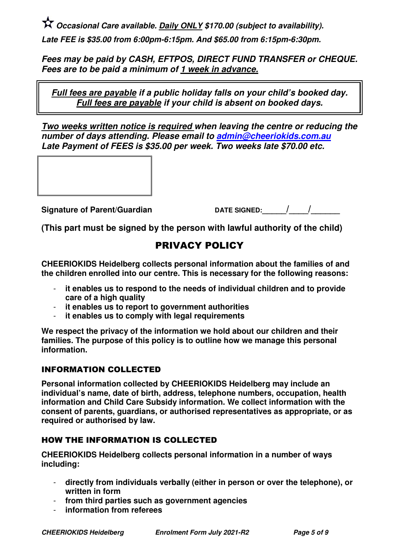*Occasional Care available. Daily ONLY \$170.00 (subject to availability). Late FEE is \$35.00 from 6:00pm-6:15pm. And \$65.00 from 6:15pm-6:30pm.* 

*Fees may be paid by CASH, EFTPOS, DIRECT FUND TRANSFER or CHEQUE. Fees are to be paid a minimum of 1 week in advance.*

*Full fees are payable if a public holiday falls on your child's booked day. Full fees are payable if your child is absent on booked days.* 

*Two weeks written notice is required when leaving the centre or reducing the number of days attending. Please email to admin@cheeriokids.com.au Late Payment of FEES is \$35.00 per week. Two weeks late \$70.00 etc.*

Signature of Parent/Guardian DATE SIGNED:  $\frac{1}{2}$ 

**(This part must be signed by the person with lawful authority of the child)** 

# PRIVACY POLICY

**CHEERIOKIDS Heidelberg collects personal information about the families of and the children enrolled into our centre. This is necessary for the following reasons:** 

- **it enables us to respond to the needs of individual children and to provide care of a high quality**
- **it enables us to report to government authorities**
- **it enables us to comply with legal requirements**

**We respect the privacy of the information we hold about our children and their families. The purpose of this policy is to outline how we manage this personal information.** 

# INFORMATION COLLECTED

**Personal information collected by CHEERIOKIDS Heidelberg may include an individual's name, date of birth, address, telephone numbers, occupation, health information and Child Care Subsidy information. We collect information with the consent of parents, guardians, or authorised representatives as appropriate, or as required or authorised by law.** 

# HOW THE INFORMATION IS COLLECTED

**CHEERIOKIDS Heidelberg collects personal information in a number of ways including:** 

- **directly from individuals verbally (either in person or over the telephone), or written in form**
- **from third parties such as government agencies**
- **information from referees**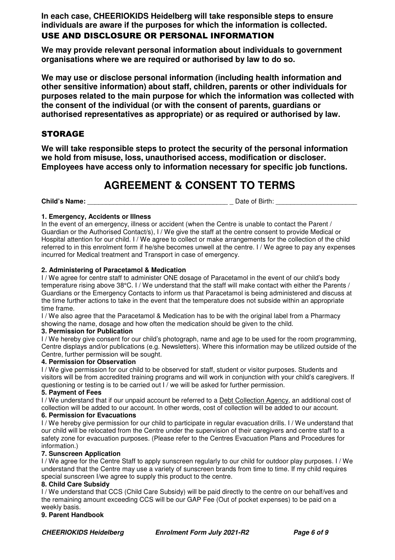**In each case, CHEERIOKIDS Heidelberg will take responsible steps to ensure individuals are aware if the purposes for which the information is collected.**  USE AND DISCLOSURE OR PERSONAL INFORMATION

**We may provide relevant personal information about individuals to government organisations where we are required or authorised by law to do so.** 

**We may use or disclose personal information (including health information and other sensitive information) about staff, children, parents or other individuals for purposes related to the main purpose for which the information was collected with the consent of the individual (or with the consent of parents, guardians or authorised representatives as appropriate) or as required or authorised by law.** 

### **STORAGE**

**We will take responsible steps to protect the security of the personal information we hold from misuse, loss, unauthorised access, modification or discloser. Employees have access only to information necessary for specific job functions.** 

# **AGREEMENT & CONSENT TO TERMS**

**Child's Name: Child's Name: Child's Name: Date of Birth:**  $\Box$  **Date of Birth:**  $\Box$ 

#### **1. Emergency, Accidents or Illness**

In the event of an emergency, illness or accident (when the Centre is unable to contact the Parent / Guardian or the Authorised Contact/s), I / We give the staff at the centre consent to provide Medical or Hospital attention for our child. I / We agree to collect or make arrangements for the collection of the child referred to in this enrolment form if he/she becomes unwell at the centre. I / We agree to pay any expenses incurred for Medical treatment and Transport in case of emergency.

#### **2. Administering of Paracetamol & Medication**

I / We agree for centre staff to administer ONE dosage of Paracetamol in the event of our child's body temperature rising above 38°C. I / We understand that the staff will make contact with either the Parents / Guardians or the Emergency Contacts to inform us that Paracetamol is being administered and discuss at the time further actions to take in the event that the temperature does not subside within an appropriate time frame.

I / We also agree that the Paracetamol & Medication has to be with the original label from a Pharmacy showing the name, dosage and how often the medication should be given to the child.

#### **3. Permission for Publication**

I / We hereby give consent for our child's photograph, name and age to be used for the room programming, Centre displays and/or publications (e.g. Newsletters). Where this information may be utilized outside of the Centre, further permission will be sought.

#### **4. Permission for Observation**

I / We give permission for our child to be observed for staff, student or visitor purposes. Students and visitors will be from accredited training programs and will work in conjunction with your child's caregivers. If questioning or testing is to be carried out I / we will be asked for further permission.

#### **5. Payment of Fees**

I / We understand that if our unpaid account be referred to a Debt Collection Agency, an additional cost of collection will be added to our account. In other words, cost of collection will be added to our account.

#### **6. Permission for Evacuations**

I / We hereby give permission for our child to participate in regular evacuation drills. I / We understand that our child will be relocated from the Centre under the supervision of their caregivers and centre staff to a safety zone for evacuation purposes. (Please refer to the Centres Evacuation Plans and Procedures for information.)

#### **7. Sunscreen Application**

I / We agree for the Centre Staff to apply sunscreen regularly to our child for outdoor play purposes. I / We understand that the Centre may use a variety of sunscreen brands from time to time. If my child requires special sunscreen I/we agree to supply this product to the centre.

#### **8. Child Care Subsidy**

I / We understand that CCS (Child Care Subsidy) will be paid directly to the centre on our behalf/ves and the remaining amount exceeding CCS will be our GAP Fee (Out of pocket expenses) to be paid on a weekly basis.

#### **9. Parent Handbook**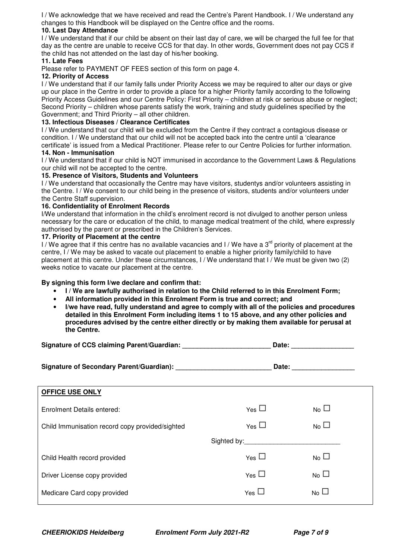I / We acknowledge that we have received and read the Centre's Parent Handbook. I / We understand any changes to this Handbook will be displayed on the Centre office and the rooms.

#### **10. Last Day Attendance**

I / We understand that if our child be absent on their last day of care, we will be charged the full fee for that day as the centre are unable to receive CCS for that day. In other words, Government does not pay CCS if the child has not attended on the last day of his/her booking.

#### **11. Late Fees**

Please refer to PAYMENT OF FEES section of this form on page 4.

#### **12. Priority of Access**

I / We understand that if our family falls under Priority Access we may be required to alter our days or give up our place in the Centre in order to provide a place for a higher Priority family according to the following Priority Access Guidelines and our Centre Policy: First Priority – children at risk or serious abuse or neglect; Second Priority – children whose parents satisfy the work, training and study guidelines specified by the Government; and Third Priority – all other children.

#### **13. Infectious Diseases / Clearance Certificates**

I / We understand that our child will be excluded from the Centre if they contract a contagious disease or condition. I / We understand that our child will not be accepted back into the centre until a 'clearance certificate' is issued from a Medical Practitioner. Please refer to our Centre Policies for further information. **14. Non - Immunisation** 

I / We understand that if our child is NOT immunised in accordance to the Government Laws & Regulations our child will not be accepted to the centre.

#### **15. Presence of Visitors, Students and Volunteers**

I / We understand that occasionally the Centre may have visitors, studentys and/or volunteers assisting in the Centre. I / We consent to our child being in the presence of visitors, students and/or volunteers under the Centre Staff supervision.

#### **16. Confidentiality of Enrolment Records**

I/We understand that information in the child's enrolment record is not divulged to another person unless necessary for the care or education of the child, to manage medical treatment of the child, where expressly authorised by the parent or prescribed in the Children's Services.

#### **17. Priority of Placement at the centre**

I / We agree that if this centre has no available vacancies and I / We have a  $3<sup>rd</sup>$  priority of placement at the centre, I / We may be asked to vacate out placement to enable a higher priority family/child to have placement at this centre. Under these circumstances, I / We understand that I / We must be given two (2) weeks notice to vacate our placement at the centre.

#### **By signing this form I/we declare and confirm that:**

- **I / We are lawfully authorised in relation to the Child referred to in this Enrolment Form;**
- **All information provided in this Enrolment Form is true and correct; and**
- **I/we have read, fully understand and agree to comply with all of the policies and procedures detailed in this Enrolment Form including items 1 to 15 above, and any other policies and procedures advised by the centre either directly or by making them available for perusal at the Centre.**

| Signature of CCS claiming Parent/Guardian: | Date: |
|--------------------------------------------|-------|
|--------------------------------------------|-------|

| Signature of Secondary Parent/Guardian): | Date: |
|------------------------------------------|-------|
|------------------------------------------|-------|

| <b>OFFICE USE ONLY</b>                          |                 |                |  |
|-------------------------------------------------|-----------------|----------------|--|
| Enrolment Details entered:                      | Yes             | N <sub>o</sub> |  |
| Child Immunisation record copy provided/sighted | Yes $\Box$      | N <sub>0</sub> |  |
|                                                 | Sighted by:     |                |  |
| Child Health record provided                    | $Y_{\text{es}}$ | N <sub>0</sub> |  |
| Driver License copy provided                    | Yes $\Box$      | N <sub>0</sub> |  |
| Medicare Card copy provided                     | Yes             | N <sub>0</sub> |  |
|                                                 |                 |                |  |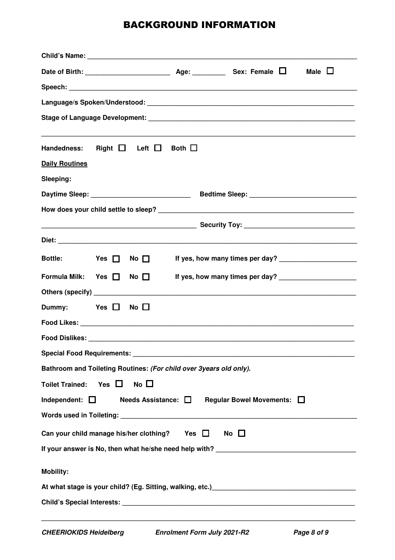# BACKGROUND INFORMATION

| Child's Name: Name: Name of the Second Child's Name: Name of the Second Child's Name of the Second Child's Name of the Second Child's Name of the Second Child's Name of the Second Child's Name of the Second Child's Name of |                                 |  |  |  |  |
|--------------------------------------------------------------------------------------------------------------------------------------------------------------------------------------------------------------------------------|---------------------------------|--|--|--|--|
|                                                                                                                                                                                                                                | Male $\Box$                     |  |  |  |  |
|                                                                                                                                                                                                                                |                                 |  |  |  |  |
|                                                                                                                                                                                                                                |                                 |  |  |  |  |
|                                                                                                                                                                                                                                |                                 |  |  |  |  |
|                                                                                                                                                                                                                                |                                 |  |  |  |  |
| Handedness: Right $\Box$ Left $\Box$<br>Both $\Box$                                                                                                                                                                            |                                 |  |  |  |  |
| <b>Daily Routines</b>                                                                                                                                                                                                          |                                 |  |  |  |  |
| Sleeping:                                                                                                                                                                                                                      |                                 |  |  |  |  |
| Daytime Sleep: _______________________________                                                                                                                                                                                 |                                 |  |  |  |  |
|                                                                                                                                                                                                                                |                                 |  |  |  |  |
|                                                                                                                                                                                                                                |                                 |  |  |  |  |
|                                                                                                                                                                                                                                |                                 |  |  |  |  |
| <b>Bottle:</b><br>$Yes$ $\Box$<br>No $\square$                                                                                                                                                                                 |                                 |  |  |  |  |
| Formula Milk: Yes $\Box$<br>No $\square$                                                                                                                                                                                       | If yes, how many times per day? |  |  |  |  |
|                                                                                                                                                                                                                                |                                 |  |  |  |  |
| Dummy:<br>$Yes$ $\Box$<br>No $\square$                                                                                                                                                                                         |                                 |  |  |  |  |
|                                                                                                                                                                                                                                |                                 |  |  |  |  |
|                                                                                                                                                                                                                                |                                 |  |  |  |  |
|                                                                                                                                                                                                                                |                                 |  |  |  |  |
| Bathroom and Toileting Routines: (For child over 3years old only).                                                                                                                                                             |                                 |  |  |  |  |
| Yes $\Box$<br>No $\square$<br><b>Toilet Trained:</b>                                                                                                                                                                           |                                 |  |  |  |  |
| Independent: $\Box$<br>Needs Assistance: □ Regular Bowel Movements: □                                                                                                                                                          |                                 |  |  |  |  |
|                                                                                                                                                                                                                                |                                 |  |  |  |  |
| Can your child manage his/her clothing? Yes $\Box$<br>No $\square$                                                                                                                                                             |                                 |  |  |  |  |
|                                                                                                                                                                                                                                |                                 |  |  |  |  |
| <b>Mobility:</b>                                                                                                                                                                                                               |                                 |  |  |  |  |
| At what stage is your child? (Eg. Sitting, walking, etc.) [19] Manuscript At what stage is your child? (Eg. Sitting, walking, etc.)                                                                                            |                                 |  |  |  |  |
| Child's Special Interests: [1986] [2012] [2013] [2013] [2013] [2013] [2014] [2014] [2014] [2014] [2014] [2014] [2014] [2014] [2014] [2014] [2014] [2014] [2014] [2014] [2014] [2014] [2014] [2014] [2014] [2014] [2014] [2014] |                                 |  |  |  |  |
|                                                                                                                                                                                                                                |                                 |  |  |  |  |